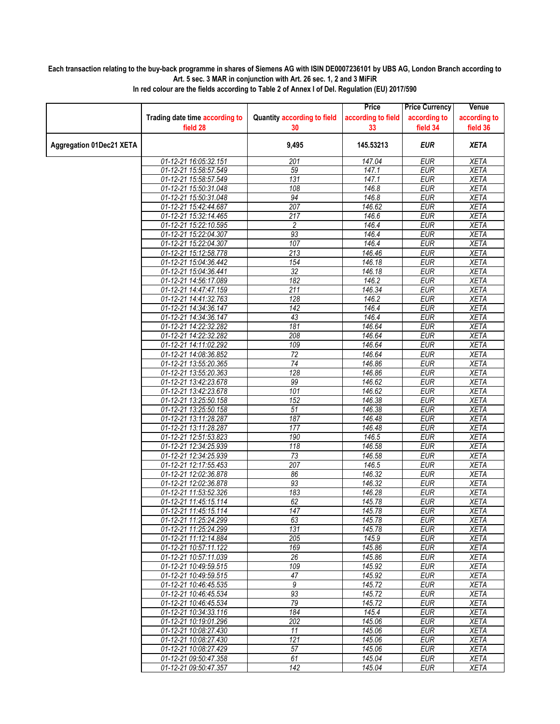## **Each transaction relating to the buy-back programme in shares of Siemens AG with ISIN DE0007236101 by UBS AG, London Branch according to Art. 5 sec. 3 MAR in conjunction with Art. 26 sec. 1, 2 and 3 MiFiR**

|                                 |                                                |                                    | Price               | <b>Price Currency</b>    | Venue                      |
|---------------------------------|------------------------------------------------|------------------------------------|---------------------|--------------------------|----------------------------|
|                                 | Trading date time according to                 | <b>Quantity according to field</b> | according to field  | according to             | according to               |
|                                 | field 28                                       | 30                                 | 33                  | field 34                 | field 36                   |
| <b>Aggregation 01Dec21 XETA</b> |                                                | 9,495                              | 145.53213           | <b>EUR</b>               | <b>XETA</b>                |
|                                 | 01-12-21 16:05:32.151                          | 201                                | 147.04              | <b>EUR</b>               | <b>XETA</b>                |
|                                 | 01-12-21 15:58:57.549                          | 59                                 | 147.1               | <b>EUR</b>               | <b>XETA</b>                |
|                                 | 01-12-21 15:58:57.549                          | 131                                | 147.1               | <b>EUR</b>               | <b>XETA</b>                |
|                                 | 01-12-21 15:50:31.048                          | 108                                | 146.8               | <b>EUR</b>               | <b>XETA</b>                |
|                                 | 01-12-21 15:50:31.048                          | 94                                 | 146.8               | <b>EUR</b>               | <b>XETA</b>                |
|                                 | 01-12-21 15:42:44.687                          | 207                                | 146.62              | <b>EUR</b>               | <b>XETA</b>                |
|                                 | 01-12-21 15:32:14.465                          | 217                                | 146.6               | <b>EUR</b>               | <b>XETA</b>                |
|                                 | 01-12-21 15:22:10.595                          | $\overline{c}$                     | 146.4               | <b>EUR</b>               | <b>XETA</b>                |
|                                 | 01-12-21 15:22:04.307                          | 93                                 | 146.4               | <b>EUR</b>               | <b>XETA</b>                |
|                                 | 01-12-21 15:22:04.307                          | 107                                | 146.4               | <b>EUR</b>               | <b>XETA</b>                |
|                                 | 01-12-21 15:12:58.778                          | 213                                | 146.46              | <b>EUR</b>               | <b>XETA</b>                |
|                                 | 01-12-21 15:04:36.442                          | 154                                | 146.18              | <b>EUR</b>               | <b>XETA</b>                |
|                                 | 01-12-21 15:04:36.441                          | $\overline{32}$                    | 146.18              | <b>EUR</b>               | <b>XETA</b>                |
|                                 | 01-12-21 14:56:17.089                          | 182                                | 146.2               | <b>EUR</b>               | <b>XETA</b>                |
|                                 | 01-12-21 14:47:47.159                          | 211                                | $\overline{146.34}$ | <b>EUR</b>               | <b>XETA</b>                |
|                                 | 01-12-21 14:41:32.763                          | 128                                | 146.2               | <b>EUR</b>               | <b>XETA</b>                |
|                                 | 01-12-21 14:34:36.147                          | 142                                | 146.4               | <b>EUR</b>               | <b>XETA</b>                |
|                                 | 01-12-21 14:34:36.147<br>01-12-21 14:22:32.282 | 43<br>181                          | 146.4<br>146.64     | <b>EUR</b><br><b>EUR</b> | <b>XETA</b><br><b>XETA</b> |
|                                 | 01-12-21 14:22:32.282                          | 208                                | 146.64              | <b>EUR</b>               | <b>XETA</b>                |
|                                 | 01-12-21 14:11:02.292                          | 109                                | 146.64              | <b>EUR</b>               | <b>XETA</b>                |
|                                 | 01-12-21 14:08:36.852                          | $\overline{72}$                    | 146.64              | <b>EUR</b>               | <b>XETA</b>                |
|                                 | 01-12-21 13:55:20.365                          | 74                                 | 146.86              | <b>EUR</b>               | <b>XETA</b>                |
|                                 | 01-12-21 13:55:20.363                          | 128                                | 146.86              | <b>EUR</b>               | <b>XETA</b>                |
|                                 | 01-12-21 13:42:23.678                          | 99                                 | $\overline{146.62}$ | <b>EUR</b>               | <b>XETA</b>                |
|                                 | 01-12-21 13:42:23.678                          | 101                                | 146.62              | <b>EUR</b>               | <b>XETA</b>                |
|                                 | 01-12-21 13:25:50.158                          | 152                                | 146.38              | <b>EUR</b>               | <b>XETA</b>                |
|                                 | 01-12-21 13:25:50.158                          | 51                                 | 146.38              | <b>EUR</b>               | <b>XETA</b>                |
|                                 | 01-12-21 13:11:28.287                          | 187                                | 146.48              | <b>EUR</b>               | <b>XETA</b>                |
|                                 | 01-12-21 13:11:28.287                          | 177                                | 146.48              | <b>EUR</b>               | <b>XETA</b>                |
|                                 | 01-12-21 12:51:53.823                          | 190                                | 146.5               | <b>EUR</b>               | <b>XETA</b>                |
|                                 | 01-12-21 12:34:25.939                          | $\overline{118}$                   | 146.58              | <b>EUR</b>               | <b>XETA</b>                |
|                                 | 01-12-21 12:34:25.939                          | 73                                 | 146.58              | <b>EUR</b>               | <b>XETA</b>                |
|                                 | 01-12-21 12:17:55.453                          | 207                                | 146.5               | <b>EUR</b>               | <b>XETA</b>                |
|                                 | 01-12-21 12:02:36.878<br>01-12-21 12:02:36.878 | 86<br>93                           | 146.32<br>146.32    | <b>EUR</b><br><b>EUR</b> | <b>XETA</b><br><b>XETA</b> |
|                                 |                                                | 183                                | 146.28              | <b>EUR</b>               | <b>XETA</b>                |
|                                 | 01-12-21 11:53:52.326<br>01-12-21 11:45:15.114 | 62                                 | 145.78              | <b>EUR</b>               | <b>XETA</b>                |
|                                 | 01-12-21 11:45:15.114                          | 147                                | 145.78              | <b>EUR</b>               | <b>XETA</b>                |
|                                 | 01-12-21 11:25:24.299                          | 63                                 | 145.78              | <b>EUR</b>               | XETA                       |
|                                 | 01-12-21 11:25:24.299                          | 131                                | 145.78              | <b>EUR</b>               | <b>XETA</b>                |
|                                 | 01-12-21 11:12:14.884                          | 205                                | 145.9               | <b>EUR</b>               | XETA                       |
|                                 | 01-12-21 10:57:11.122                          | 169                                | 145.86              | <b>EUR</b>               | XETA                       |
|                                 | 01-12-21 10:57:11.039                          | 26                                 | 145.86              | <b>EUR</b>               | <b>XETA</b>                |
|                                 | 01-12-21 10:49:59.515                          | 109                                | 145.92              | <b>EUR</b>               | <b>XETA</b>                |
|                                 | 01-12-21 10:49:59.515                          | 47                                 | 145.92              | <b>EUR</b>               | XETA                       |
|                                 | 01-12-21 10:46:45.535                          | $\overline{9}$                     | 145.72              | <b>EUR</b>               | <b>XETA</b>                |
|                                 | 01-12-21 10:46:45.534                          | 93                                 | 145.72              | <b>EUR</b>               | <b>XETA</b>                |
|                                 | 01-12-21 10:46:45.534                          | 79                                 | 145.72              | <b>EUR</b>               | XETA                       |
|                                 | 01-12-21 10:34:33.116                          | 184                                | 145.4               | <b>EUR</b>               | <b>XETA</b>                |
|                                 | 01-12-21 10:19:01.296                          | 202                                | 145.06<br>145.06    | <b>EUR</b>               | <b>XETA</b>                |
|                                 | 01-12-21 10:08:27.430<br>01-12-21 10:08:27.430 | 11<br>121                          |                     | <b>EUR</b><br><b>EUR</b> | <b>XETA</b><br>XETA        |
|                                 | 01-12-21 10:08:27.429                          | 57                                 | 145.06<br>145.06    | <b>EUR</b>               | <b>XETA</b>                |
|                                 | 01-12-21 09:50:47.358                          | 61                                 | 145.04              | <b>EUR</b>               | <b>XETA</b>                |
|                                 | 01-12-21 09:50:47.357                          | 142                                | 145.04              | EUR                      | XETA                       |
|                                 |                                                |                                    |                     |                          |                            |

**In red colour are the fields according to Table 2 of Annex I of Del. Regulation (EU) 2017/590**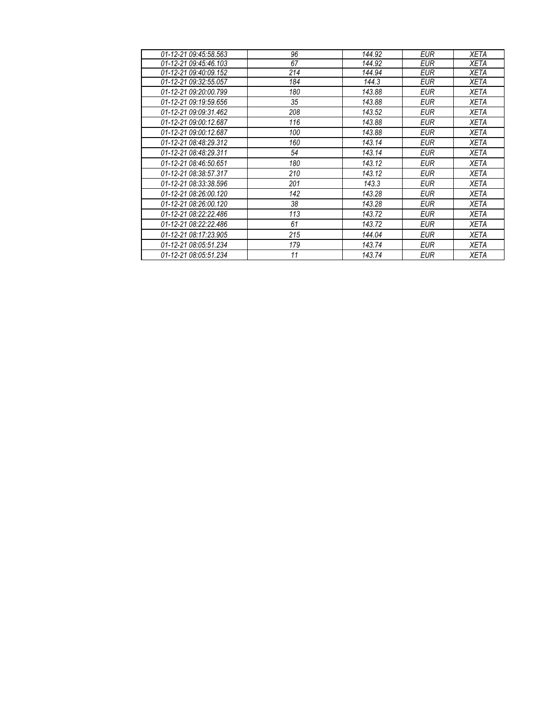| 01-12-21 09:45:58.563 | 96  | 144.92 | EUR        | XETA        |
|-----------------------|-----|--------|------------|-------------|
| 01-12-21 09:45:46.103 | 67  | 144.92 | <b>EUR</b> | XETA        |
| 01-12-21 09:40:09.152 | 214 | 144.94 | EUR        | XETA        |
| 01-12-21 09:32:55.057 | 184 | 144.3  | EUR        | XETA        |
| 01-12-21 09:20:00.799 | 180 | 143.88 | <b>EUR</b> | <b>XETA</b> |
| 01-12-21 09:19:59.656 | 35  | 143.88 | <b>EUR</b> | <b>XETA</b> |
| 01-12-21 09:09:31.462 | 208 | 143.52 | EUR        | XETA        |
| 01-12-21 09:00:12.687 | 116 | 143.88 | <b>EUR</b> | <b>XETA</b> |
| 01-12-21 09:00:12.687 | 100 | 143.88 | <b>EUR</b> | XETA        |
| 01-12-21 08:48:29.312 | 160 | 143.14 | <b>EUR</b> | <b>XETA</b> |
| 01-12-21 08:48:29.311 | 54  | 143.14 | <b>EUR</b> | <b>XETA</b> |
| 01-12-21 08:46:50.651 | 180 | 143.12 | EUR        | XETA        |
| 01-12-21 08:38:57.317 | 210 | 143.12 | EUR        | XETA        |
| 01-12-21 08:33:38.596 | 201 | 143.3  | <b>EUR</b> | <b>XETA</b> |
| 01-12-21 08:26:00.120 | 142 | 143.28 | <b>EUR</b> | XETA        |
| 01-12-21 08:26:00.120 | 38  | 143.28 | <b>EUR</b> | <b>XETA</b> |
| 01-12-21 08:22:22.486 | 113 | 143.72 | EUR        | XETA        |
| 01-12-21 08:22:22.486 | 61  | 143.72 | EUR        | XETA        |
| 01-12-21 08:17:23.905 | 215 | 144.04 | <b>EUR</b> | XETA        |
| 01-12-21 08:05:51.234 | 179 | 143.74 | <b>EUR</b> | <b>XETA</b> |
| 01-12-21 08:05:51.234 | 11  | 143.74 | <b>EUR</b> | XETA        |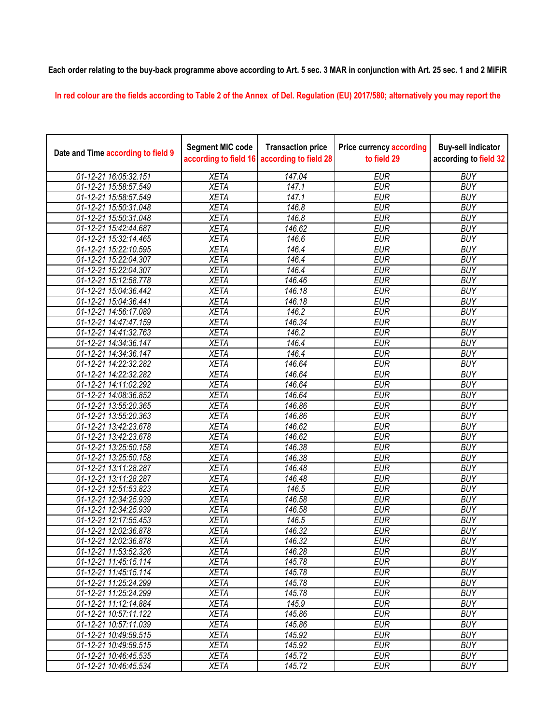**Each order relating to the buy-back programme above according to Art. 5 sec. 3 MAR in conjunction with Art. 25 sec. 1 and 2 MiFiR** 

**In red colour are the fields according to Table 2 of the Annex of Del. Regulation (EU) 2017/580; alternatively you may report the** 

| Date and Time according to field 9 | <b>Segment MIC code</b><br>according to field 16 | <b>Transaction price</b><br>according to field 28 | <b>Price currency according</b><br>to field 29 | <b>Buy-sell indicator</b><br>according to field 32 |
|------------------------------------|--------------------------------------------------|---------------------------------------------------|------------------------------------------------|----------------------------------------------------|
| 01-12-21 16:05:32.151              | <b>XETA</b>                                      | 147.04                                            | <b>EUR</b>                                     | <b>BUY</b>                                         |
| 01-12-21 15:58:57.549              | <b>XETA</b>                                      | 147.1                                             | <b>EUR</b>                                     | <b>BUY</b>                                         |
| 01-12-21 15:58:57.549              | <b>XETA</b>                                      | 147.1                                             | <b>EUR</b>                                     | <b>BUY</b>                                         |
| 01-12-21 15:50:31.048              | <b>XETA</b>                                      | 146.8                                             | <b>EUR</b>                                     | <b>BUY</b>                                         |
| 01-12-21 15:50:31.048              | <b>XETA</b>                                      | $146.\overline{8}$                                | <b>EUR</b>                                     | <b>BUY</b>                                         |
| 01-12-21 15:42:44.687              | <b>XETA</b>                                      | 146.62                                            | <b>EUR</b>                                     | <b>BUY</b>                                         |
| 01-12-21 15:32:14.465              | <b>XETA</b>                                      | 146.6                                             | <b>EUR</b>                                     | <b>BUY</b>                                         |
| 01-12-21 15:22:10.595              | <b>XETA</b>                                      | 146.4                                             | <b>EUR</b>                                     | <b>BUY</b>                                         |
| 01-12-21 15:22:04.307              | <b>XETA</b>                                      | 146.4                                             | <b>EUR</b>                                     | <b>BUY</b>                                         |
| 01-12-21 15:22:04.307              | <b>XETA</b>                                      | 146.4                                             | <b>EUR</b>                                     | <b>BUY</b>                                         |
| 01-12-21 15:12:58.778              | <b>XETA</b>                                      | 146.46                                            | <b>EUR</b>                                     | <b>BUY</b>                                         |
| 01-12-21 15:04:36.442              | <b>XETA</b>                                      | 146.18                                            | <b>EUR</b>                                     | <b>BUY</b>                                         |
| 01-12-21 15:04:36.441              | <b>XETA</b>                                      | 146.18                                            | <b>EUR</b>                                     | <b>BUY</b>                                         |
| 01-12-21 14:56:17.089              | <b>XETA</b>                                      | 146.2                                             | <b>EUR</b>                                     | <b>BUY</b>                                         |
| 01-12-21 14:47:47.159              | <b>XETA</b>                                      | 146.34                                            | <b>EUR</b>                                     | <b>BUY</b>                                         |
| 01-12-21 14:41:32.763              | <b>XETA</b>                                      | 146.2                                             | <b>EUR</b>                                     | <b>BUY</b>                                         |
| 01-12-21 14:34:36.147              | <b>XETA</b>                                      | 146.4                                             | <b>EUR</b>                                     | <b>BUY</b>                                         |
| 01-12-21 14:34:36.147              | <b>XETA</b>                                      | 146.4                                             | <b>EUR</b>                                     | <b>BUY</b>                                         |
| 01-12-21 14:22:32.282              | <b>XETA</b>                                      | 146.64                                            | <b>EUR</b>                                     | <b>BUY</b>                                         |
| 01-12-21 14:22:32.282              | <b>XETA</b>                                      | 146.64                                            | <b>EUR</b>                                     | <b>BUY</b>                                         |
| 01-12-21 14:11:02.292              | <b>XETA</b>                                      | 146.64                                            | <b>EUR</b>                                     | <b>BUY</b>                                         |
| 01-12-21 14:08:36.852              | <b>XETA</b>                                      | 146.64                                            | <b>EUR</b>                                     | <b>BUY</b>                                         |
| 01-12-21 13:55:20.365              | <b>XETA</b>                                      | 146.86                                            | <b>EUR</b>                                     | <b>BUY</b>                                         |
| 01-12-21 13:55:20.363              | <b>XETA</b>                                      | 146.86                                            | <b>EUR</b>                                     | <b>BUY</b>                                         |
| 01-12-21 13:42:23.678              | <b>XETA</b>                                      | 146.62                                            | <b>EUR</b>                                     | <b>BUY</b>                                         |
| 01-12-21 13:42:23.678              | <b>XETA</b>                                      | 146.62                                            | <b>EUR</b>                                     | <b>BUY</b>                                         |
| 01-12-21 13:25:50.158              | <b>XETA</b>                                      | 146.38                                            | <b>EUR</b>                                     | <b>BUY</b>                                         |
| 01-12-21 13:25:50.158              | <b>XETA</b>                                      | 146.38                                            | <b>EUR</b>                                     | <b>BUY</b>                                         |
| 01-12-21 13:11:28.287              | <b>XETA</b>                                      | 146.48                                            | <b>EUR</b>                                     | <b>BUY</b>                                         |
| 01-12-21 13:11:28.287              | <b>XETA</b>                                      | 146.48                                            | <b>EUR</b>                                     | <b>BUY</b>                                         |
| 01-12-21 12:51:53.823              | <b>XETA</b>                                      | 146.5                                             | <b>EUR</b>                                     | <b>BUY</b>                                         |
| 01-12-21 12:34:25.939              | <b>XETA</b>                                      | 146.58                                            | <b>EUR</b>                                     | <b>BUY</b>                                         |
| 01-12-21 12:34:25.939              | <b>XETA</b>                                      | 146.58                                            | <b>EUR</b>                                     | <b>BUY</b>                                         |
| 01-12-21 12:17:55.453              | <b>XETA</b>                                      | 146.5                                             | <b>EUR</b>                                     | <b>BUY</b>                                         |
| 01-12-21 12:02:36.878              | <b>XETA</b>                                      | 146.32                                            | <b>EUR</b>                                     | <b>BUY</b>                                         |
| 01-12-21 12:02:36.878              | <b>XETA</b>                                      | 146.32                                            | <b>EUR</b>                                     | <b>BUY</b>                                         |
| 01-12-21 11:53:52.326              | <b>XETA</b>                                      | 146.28                                            | <b>EUR</b>                                     | <b>BUY</b>                                         |
| 01-12-21 11:45:15.114              | <b>XETA</b>                                      | 145.78                                            | <b>EUR</b>                                     | <b>BUY</b>                                         |
| 01-12-21 11:45:15.114              | <b>XETA</b>                                      | 145.78                                            | <b>EUR</b>                                     | <b>BUY</b>                                         |
| 01-12-21 11:25:24.299              | <b>XETA</b>                                      | 145.78                                            | <b>EUR</b>                                     | <b>BUY</b>                                         |
| 01-12-21 11:25:24.299              | <b>XETA</b>                                      | 145.78                                            | <b>EUR</b>                                     | <b>BUY</b>                                         |
| 01-12-21 11:12:14.884              | <b>XETA</b>                                      | 145.9                                             | <b>EUR</b>                                     | <b>BUY</b>                                         |
| 01-12-21 10:57:11.122              | <b>XETA</b>                                      | 145.86                                            | <b>EUR</b>                                     | <b>BUY</b>                                         |
| 01-12-21 10:57:11.039              | <b>XETA</b>                                      | 145.86                                            | <b>EUR</b>                                     | <b>BUY</b>                                         |
| 01-12-21 10:49:59.515              | <b>XETA</b>                                      | 145.92                                            | <b>EUR</b>                                     | <b>BUY</b>                                         |
| 01-12-21 10:49:59.515              | <b>XETA</b>                                      | 145.92                                            | <b>EUR</b>                                     | <b>BUY</b>                                         |
| 01-12-21 10:46:45.535              | <b>XETA</b>                                      | 145.72                                            | <b>EUR</b>                                     | <b>BUY</b>                                         |
| 01-12-21 10:46:45.534              | <b>XETA</b>                                      | 145.72                                            | <b>EUR</b>                                     | <b>BUY</b>                                         |